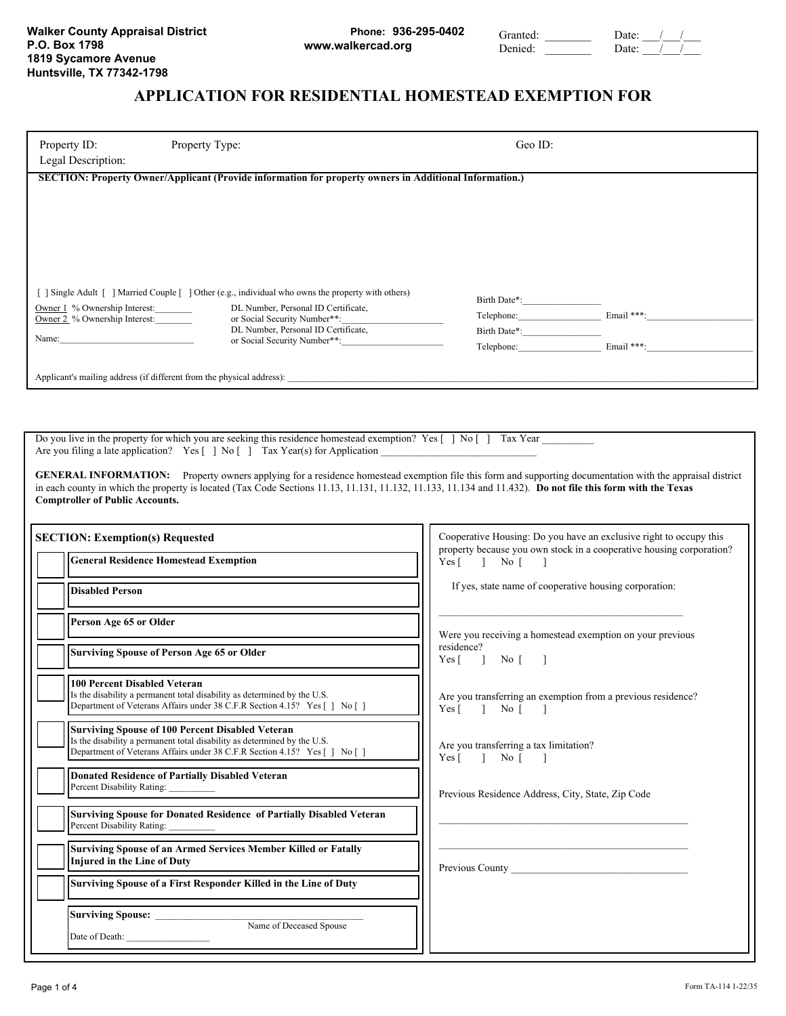## **Phone: 936-295-0402 www.walkercad.org**

Granted: Date: / / Denied: Date: / /

# **APPLICATION FOR RESIDENTIAL HOMESTEAD EXEMPTION FOR**

| Property ID:<br>Legal Description:                                      | Property Type:                                                                                                                                                                                                                               | Geo ID:                                                  |                          |
|-------------------------------------------------------------------------|----------------------------------------------------------------------------------------------------------------------------------------------------------------------------------------------------------------------------------------------|----------------------------------------------------------|--------------------------|
|                                                                         | SECTION: Property Owner/Applicant (Provide information for property owners in Additional Information.)                                                                                                                                       |                                                          |                          |
| Owner 1 % Ownership Interest:<br>Owner 2 % Ownership Interest:<br>Name: | Single Adult [ ] Married Couple [ ] Other (e.g., individual who owns the property with others)<br>DL Number, Personal ID Certificate,<br>or Social Security Number**:<br>DL Number, Personal ID Certificate,<br>or Social Security Number**: | Birth Date*:<br>Telephone:<br>Birth Date*:<br>Telephone: | Email ***:<br>Email ***: |
|                                                                         | Applicant's mailing address (if different from the physical address):                                                                                                                                                                        |                                                          |                          |

Do you live in the property for which you are seeking this residence homestead exemption? Yes [ ] No [ ] Tax Year Are you filing a late application? Yes [ ] No [ ] Tax Year(s) for Application \_

**GENERAL INFORMATION:** Property owners applying for a residence homestead exemption file this form and supporting documentation with the appraisal district in each county in which the property is located (Tax Code Sections 11.13, 11.131, 11.132, 11.133, 11.134 and 11.432). Do not file this form with the Texas **Comptroller of Public Accounts.**

| <b>SECTION: Exemption(s) Requested</b>                                                                                                                                                                          | Cooperative Housing: Do you have an exclusive right to occupy this<br>property because you own stock in a cooperative housing corporation? |  |  |
|-----------------------------------------------------------------------------------------------------------------------------------------------------------------------------------------------------------------|--------------------------------------------------------------------------------------------------------------------------------------------|--|--|
| <b>General Residence Homestead Exemption</b>                                                                                                                                                                    | $Yes \begin{bmatrix} 1 \\ No \end{bmatrix}$                                                                                                |  |  |
| <b>Disabled Person</b>                                                                                                                                                                                          | If yes, state name of cooperative housing corporation:                                                                                     |  |  |
| Person Age 65 or Older                                                                                                                                                                                          | Were you receiving a homestead exemption on your previous                                                                                  |  |  |
| <b>Surviving Spouse of Person Age 65 or Older</b>                                                                                                                                                               | residence?<br>Yes [ ] No [ ]                                                                                                               |  |  |
| <b>100 Percent Disabled Veteran</b><br>Is the disability a permanent total disability as determined by the U.S.<br>Department of Veterans Affairs under 38 C.F.R Section 4.15? Yes [] No []                     | Are you transferring an exemption from a previous residence?<br>Yes [ ] No [ ]                                                             |  |  |
| <b>Surviving Spouse of 100 Percent Disabled Veteran</b><br>Is the disability a permanent total disability as determined by the U.S.<br>Department of Veterans Affairs under 38 C.F.R Section 4.15? Yes [] No [] | Are you transferring a tax limitation?<br>$Yes \lceil \rceil$ No $\lceil \rceil$                                                           |  |  |
| <b>Donated Residence of Partially Disabled Veteran</b><br>Percent Disability Rating:                                                                                                                            | Previous Residence Address, City, State, Zip Code                                                                                          |  |  |
| <b>Surviving Spouse for Donated Residence of Partially Disabled Veteran</b><br>Percent Disability Rating:                                                                                                       |                                                                                                                                            |  |  |
| <b>Surviving Spouse of an Armed Services Member Killed or Fatally</b><br><b>Injured in the Line of Duty</b>                                                                                                     | Previous County Previous County                                                                                                            |  |  |
| Surviving Spouse of a First Responder Killed in the Line of Duty                                                                                                                                                |                                                                                                                                            |  |  |
| Surviving Spouse: <u>Name of Deceased Spouse</u>                                                                                                                                                                |                                                                                                                                            |  |  |
|                                                                                                                                                                                                                 |                                                                                                                                            |  |  |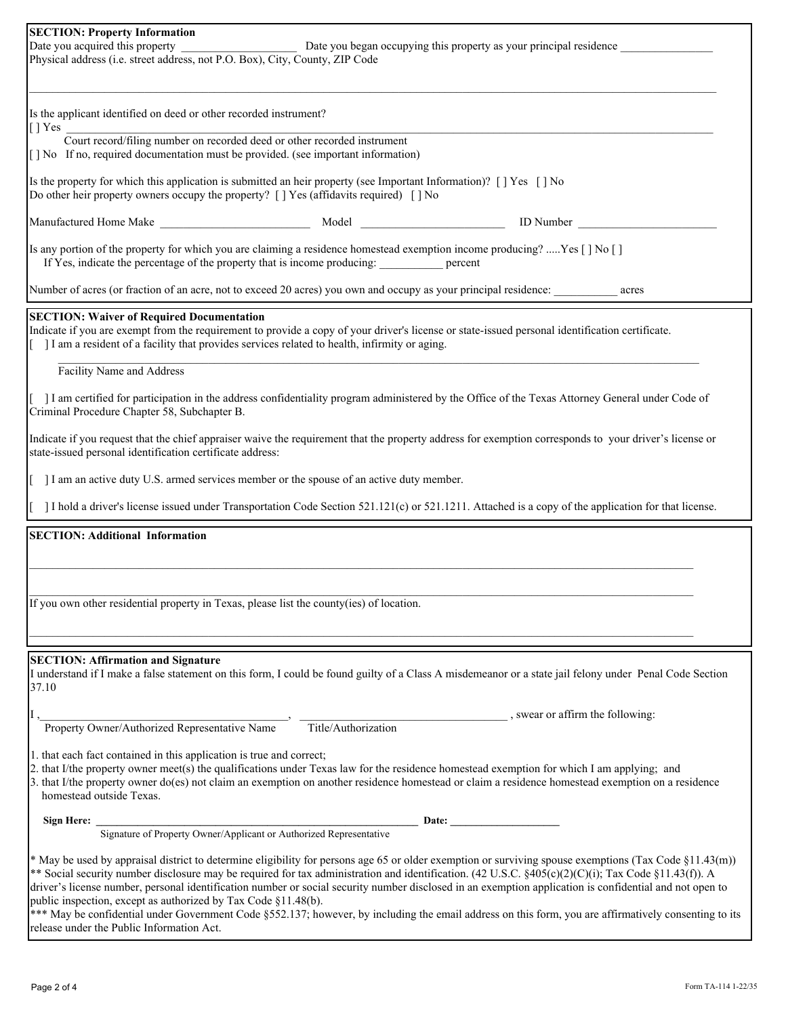| <b>SECTION: Property Information</b><br>Date you acquired this property<br>Date you began occupying this property as your principal residence                                                                                                                                                                                                                                                                                                                                                                                              |  |  |  |  |  |  |  |  |
|--------------------------------------------------------------------------------------------------------------------------------------------------------------------------------------------------------------------------------------------------------------------------------------------------------------------------------------------------------------------------------------------------------------------------------------------------------------------------------------------------------------------------------------------|--|--|--|--|--|--|--|--|
| Physical address (i.e. street address, not P.O. Box), City, County, ZIP Code                                                                                                                                                                                                                                                                                                                                                                                                                                                               |  |  |  |  |  |  |  |  |
|                                                                                                                                                                                                                                                                                                                                                                                                                                                                                                                                            |  |  |  |  |  |  |  |  |
| Is the applicant identified on deed or other recorded instrument?<br>[ ] Yes                                                                                                                                                                                                                                                                                                                                                                                                                                                               |  |  |  |  |  |  |  |  |
| Court record/filing number on recorded deed or other recorded instrument<br>[] No If no, required documentation must be provided. (see important information)                                                                                                                                                                                                                                                                                                                                                                              |  |  |  |  |  |  |  |  |
| Is the property for which this application is submitted an heir property (see Important Information)? [] Yes [] No<br>Do other heir property owners occupy the property? $\lceil \cdot \rceil$ Yes (affidavits required) $\lceil \cdot \rceil$ No                                                                                                                                                                                                                                                                                          |  |  |  |  |  |  |  |  |
| Manufactured Home Make National Model Note and Model<br>ID Number                                                                                                                                                                                                                                                                                                                                                                                                                                                                          |  |  |  |  |  |  |  |  |
| Is any portion of the property for which you are claiming a residence homestead exemption income producing? Yes [] No []<br>If Yes, indicate the percentage of the property that is income producing: ____________ percent                                                                                                                                                                                                                                                                                                                 |  |  |  |  |  |  |  |  |
| Number of acres (or fraction of an acre, not to exceed 20 acres) you own and occupy as your principal residence:<br>acres                                                                                                                                                                                                                                                                                                                                                                                                                  |  |  |  |  |  |  |  |  |
| <b>SECTION: Waiver of Required Documentation</b><br>Indicate if you are exempt from the requirement to provide a copy of your driver's license or state-issued personal identification certificate.<br>I am a resident of a facility that provides services related to health, infirmity or aging.                                                                                                                                                                                                                                         |  |  |  |  |  |  |  |  |
| Facility Name and Address                                                                                                                                                                                                                                                                                                                                                                                                                                                                                                                  |  |  |  |  |  |  |  |  |
| I am certified for participation in the address confidentiality program administered by the Office of the Texas Attorney General under Code of<br>Criminal Procedure Chapter 58, Subchapter B.                                                                                                                                                                                                                                                                                                                                             |  |  |  |  |  |  |  |  |
| Indicate if you request that the chief appraiser waive the requirement that the property address for exemption corresponds to your driver's license or<br>state-issued personal identification certificate address:                                                                                                                                                                                                                                                                                                                        |  |  |  |  |  |  |  |  |
| I am an active duty U.S. armed services member or the spouse of an active duty member.                                                                                                                                                                                                                                                                                                                                                                                                                                                     |  |  |  |  |  |  |  |  |
| I hold a driver's license issued under Transportation Code Section 521.121(c) or 521.1211. Attached is a copy of the application for that license.                                                                                                                                                                                                                                                                                                                                                                                         |  |  |  |  |  |  |  |  |
| <b>SECTION: Additional Information</b>                                                                                                                                                                                                                                                                                                                                                                                                                                                                                                     |  |  |  |  |  |  |  |  |
|                                                                                                                                                                                                                                                                                                                                                                                                                                                                                                                                            |  |  |  |  |  |  |  |  |
|                                                                                                                                                                                                                                                                                                                                                                                                                                                                                                                                            |  |  |  |  |  |  |  |  |
| If you own other residential property in Texas, please list the county(ies) of location.                                                                                                                                                                                                                                                                                                                                                                                                                                                   |  |  |  |  |  |  |  |  |
|                                                                                                                                                                                                                                                                                                                                                                                                                                                                                                                                            |  |  |  |  |  |  |  |  |
|                                                                                                                                                                                                                                                                                                                                                                                                                                                                                                                                            |  |  |  |  |  |  |  |  |
| <b>SECTION: Affirmation and Signature</b><br>I understand if I make a false statement on this form, I could be found guilty of a Class A misdemeanor or a state jail felony under Penal Code Section<br>37.10                                                                                                                                                                                                                                                                                                                              |  |  |  |  |  |  |  |  |
| , swear or affirm the following:                                                                                                                                                                                                                                                                                                                                                                                                                                                                                                           |  |  |  |  |  |  |  |  |
| Title/Authorization<br>Property Owner/Authorized Representative Name                                                                                                                                                                                                                                                                                                                                                                                                                                                                       |  |  |  |  |  |  |  |  |
| 1. that each fact contained in this application is true and correct;<br>2. that I/the property owner meet(s) the qualifications under Texas law for the residence homestead exemption for which I am applying; and<br>3. that I/the property owner do(es) not claim an exemption on another residence homestead or claim a residence homestead exemption on a residence<br>homestead outside Texas.                                                                                                                                        |  |  |  |  |  |  |  |  |
| Sign Here: _                                                                                                                                                                                                                                                                                                                                                                                                                                                                                                                               |  |  |  |  |  |  |  |  |
|                                                                                                                                                                                                                                                                                                                                                                                                                                                                                                                                            |  |  |  |  |  |  |  |  |
| * May be used by appraisal district to determine eligibility for persons age 65 or older exemption or surviving spouse exemptions (Tax Code §11.43(m))<br>** Social security number disclosure may be required for tax administration and identification. (42 U.S.C. §405(c)(2)(C)(i); Tax Code §11.43(f)). A<br>driver's license number, personal identification number or social security number disclosed in an exemption application is confidential and not open to<br>public inspection, except as authorized by Tax Code §11.48(b). |  |  |  |  |  |  |  |  |
| *** May be confidential under Government Code §552.137; however, by including the email address on this form, you are affirmatively consenting to its                                                                                                                                                                                                                                                                                                                                                                                      |  |  |  |  |  |  |  |  |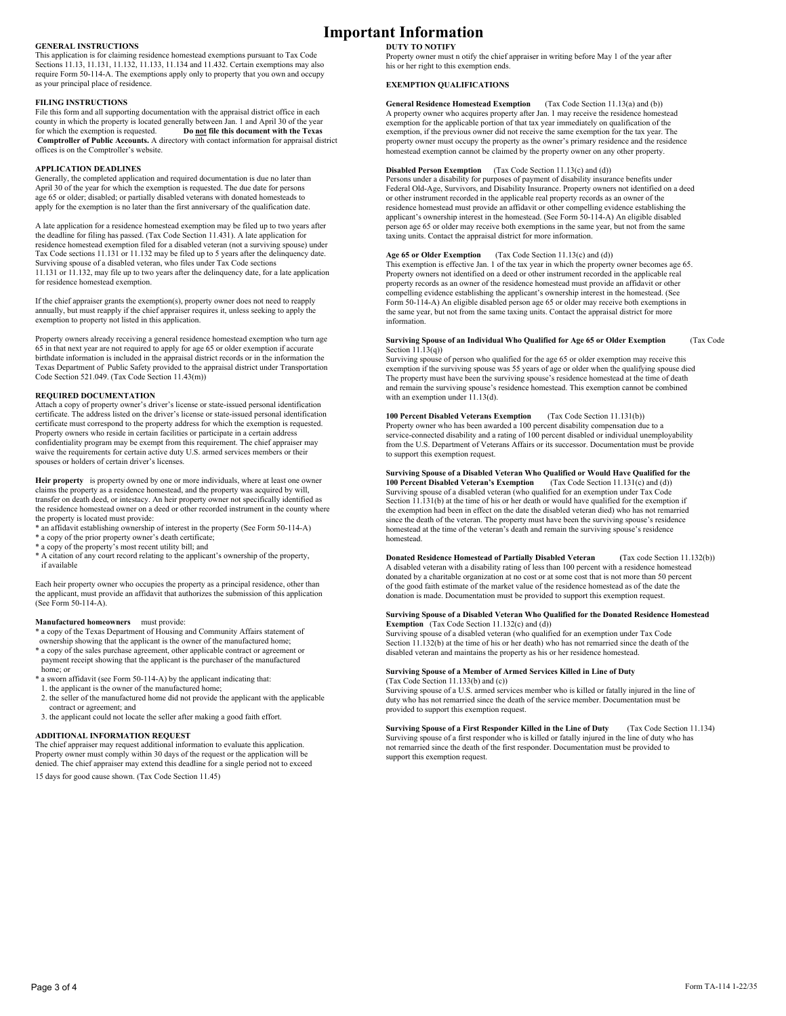### **GENERAL INSTRUCTIONS**

This application is for claiming residence homestead exemptions pursuant to Tax Code Sections 11.13, 11.131, 11.132, 11.133, 11.134 and 11.432. Certain exemptions may also require Form 50-114-A. The exemptions apply only to property that you own and occupy as your principal place of residence.

#### **FILING INSTRUCTIONS**

File this form and all supporting documentation with the appraisal district office in each county in which the property is located generally between Jan. 1 and April 30 of the year for which the exemption is requested. **Do not file this document with the Texas Comptroller of Public Accounts.** A directory with contact information for appraisal district offices is on the Comptroller's website.

### **APPLICATION DEADLINES**

Generally, the completed application and required documentation is due no later than April 30 of the year for which the exemption is requested. The due date for persons age 65 or older; disabled; or partially disabled veterans with donated homesteads to apply for the exemption is no later than the first anniversary of the qualification date.

A late application for a residence homestead exemption may be filed up to two years after the deadline for filing has passed. (Tax Code Section 11.431). A late application for residence homestead exemption filed for a disabled veteran (not a surviving spouse) under Tax Code sections 11.131 or 11.132 may be filed up to 5 years after the delinquency date. Surviving spouse of a disabled veteran, who files under Tax Code sections 11.131 or 11.132, may file up to two years after the delinquency date, for a late application for residence homestead exemption.

If the chief appraiser grants the exemption(s), property owner does not need to reapply annually, but must reapply if the chief appraiser requires it, unless seeking to apply the exemption to property not listed in this application.

Property owners already receiving a general residence homestead exemption who turn age 65 in that next year are not required to apply for age 65 or older exemption if accurate birthdate information is included in the appraisal district records or in the information the<br>Texas Department of Public Safety provided to the appraisal district under Transportation<br>Code Section 521.049. (Tax Code Sectio

#### **REQUIRED DOCUMENTATION**

Attach a copy of property owner's driver's license or state-issued personal identification<br>certificate. The address listed on the driver's license or state-issued personal identification<br>certificate must correspond to the Property owners who reside in certain facilities or participate in a certain address confidentiality program may be exempt from this requirement. The chief appraiser may waive the requirements for certain active duty U.S. armed services members or their spouses or holders of certain driver's licenses.

**Heir property** is property owned by one or more individuals, where at least one owner claims the property as a residence homestead, and the property was acquired by will, transfer on death deed, or intestacy. An heir property owner not specifically identified as the residence homestead owner on a deed or other recorded instrument in the county where the property is located must provide:

- \* an affidavit establishing ownership of interest in the property (See Form 50-114-A)
- \* a copy of the prior property owner's death certificate;
- \* a copy of the property's most recent utility bill; and
- \* A citation of any court record relating to the applicant's ownership of the property, if available

Each heir property owner who occupies the property as a principal residence, other than the applicant, must provide an affidavit that authorizes the submission of this application (See Form  $50-114-A$ ).

### **Manufactured homeowners** must provide:

\* a copy of the Texas Department of Housing and Community Affairs statement of ownership showing that the applicant is the owner of the manufactured home;

- \* a copy of the sales purchase agreement, other applicable contract or agreement or payment receipt showing that the applicant is the purchaser of the manufactured home; or
- \* a sworn affidavit (see Form 50-114-A) by the applicant indicating that: 1. the applicant is the owner of the manufactured home;
- 2. the seller of the manufactured home did not provide the applicant with the applicable contract or agreement; and
- 3. the applicant could not locate the seller after making a good faith effort.

### **ADDITIONAL INFORMATION REQUEST**

The chief appraiser may request additional information to evaluate this application. Property owner must comply within 30 days of the request or the application will be denied. The chief appraiser may extend this deadline for a single period not to exceed 15 days for good cause shown. (Tax Code Section 11.45)

# **Important Information**

**DUTY TO NOTIFY** Property owner must n otify the chief appraiser in writing before May 1 of the year after his or her right to this exemption ends.

### **EXEMPTION QUALIFICATIONS**

**General Residence Homestead Exemption** (Tax Code Section 11.13(a) and (b))<br>A property owner who acquires property after Jan. 1 may receive the residence homestead exemption for the applicable portion of that tax year immediately on qualification of the exemption, if the previous owner did not receive the same exemption for the tax year. The property owner must occupy the property as the owner's primary residence and the residence homestead exemption cannot be claimed by the property owner on any other property.

### **Disabled Person Exemption** (Tax Code Section 11.13(c) and (d))

Persons under a disability for purposes of payment of disability insurance benefits under Federal Old-Age, Survivors, and Disability Insurance. Property owners not identified on a deed or other instrument recorded in the applicable real property records as an owner of the residence homestead must provide an affidavit or other compelling evidence establishing the applicant's ownership interest in the homestead. (See Form 50-114-A) An eligible disabled person age 65 or older may receive both exemptions in the same year, but not from the same taxing units. Contact the appraisal district for more information.

**Age 65 or Older Exemption** (Tax Code Section 11.13(c) and (d))

This exemption is effective Jan. 1 of the tax year in which the property owner becomes age 65. Property owners not identified on a deed or other instrument recorded in the applicable real property records as an owner of the residence homestead must provide an affidavit or other<br>compelling evidence establishing the applicant's ownership interest in the homestead. (See<br>Form 50-114-A) An eligible disabled pers the same year, but not from the same taxing units. Contact the appraisal district for more information.

# **Surviving Spouse of an Individual Who Qualified for Age 65 or Older Exemption** (Tax Code Section 11.13(q))

Surviving spouse of person who qualified for the age 65 or older exemption may receive this exemption if the surviving spouse was 55 years of age or older when the qualifying spouse died The property must have been the surviving spouse's residence homestead at the time of death and remain the surviving spouse's residence homestead. This exemption cannot be combined with an exemption under 11.13(d).

**100 Percent Disabled Veterans Exemption** (Tax Code Section 11.131(b)) Property owner who has been awarded a 100 percent disability compensation due to a service-connected disability and a rating of 100 percent disabled or individual unemployability from the U.S. Department of Veterans Affairs or its successor. Documentation must be provide to support this exemption request.

# **Surviving Spouse of a Disabled Veteran Who Qualified or Would Have Qualified for the 100 Percent Disabled Veteran's Exemption** (Tax Code Section 11.131(c) and (d))

**100 Percent Disabled Veteran's Exemption** Surviving spouse of a disabled veteran (who qualified for an exemption under Tax Code Section 11.131(b) at the time of his or her death or would have qualified for the exemption if the exemption had been in effect on the date the disabled veteran died) who has not remarried since the death of the veteran. The property must have been the surviving spouse's residence homestead at the time of the veteran's death and remain the surviving spouse's residence homestead.

**Donated Residence Homestead of Partially Disabled Veteran (**Tax code Section 11.132(b)) A disabled veteran with a disability rating of less than 100 percent with a residence homestead donated by a charitable organization at no cost or at some cost that is not more than 50 percent of the good faith estimate of the market value of the residence homestead as of the date the donation is made. Documentation must be provided to support this exemption request.

# **Surviving Spouse of a Disabled Veteran Who Qualified for the Donated Residence Homestead Exemption** (Tax Code Section 11.132(c) and (d))

Surviving spouse of a disabled veteran (who qualified for an exemption under Tax Code Section 11.132(b) at the time of his or her death) who has not remarried since the death of the disabled veteran and maintains the property as his or her residence homestead.

#### **Surviving Spouse of a Member of Armed Services Killed in Line of Duty** (Tax Code Section 11.133(b) and (c))

Surviving spouse of a U.S. armed services member who is killed or fatally injured in the line of duty who has not remarried since the death of the service member. Documentation must be provided to support this exemption request.

**Surviving Spouse of a First Responder Killed in the Line of Duty** (Tax Code Section 11.134) Surviving spouse of a first responder who is killed or fatally injured in the line of duty who has not remarried since the death of the first responder. Documentation must be provided to support this exemption request.